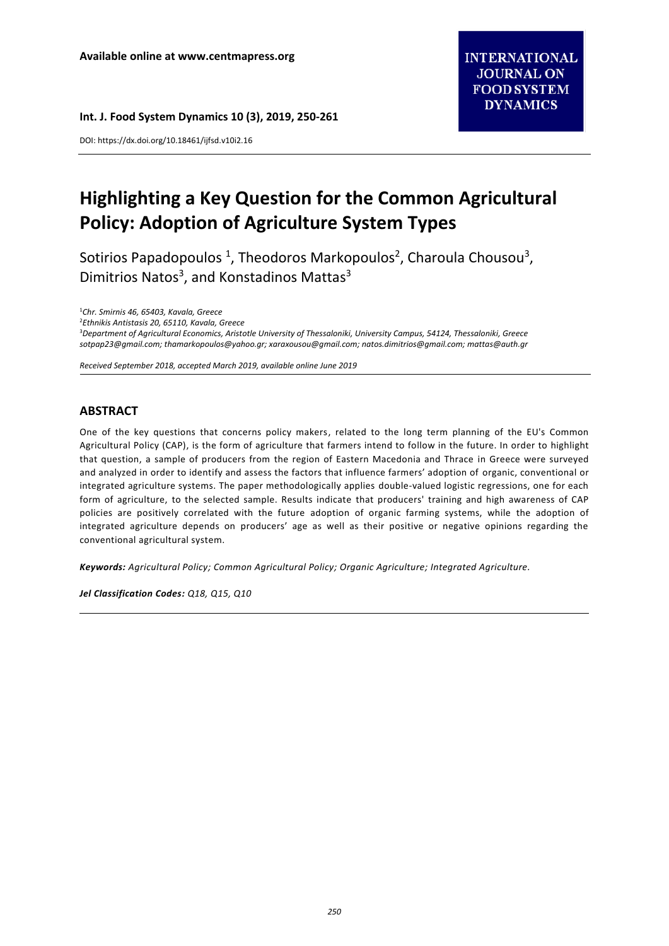**Int. J. Food System Dynamics 10 (3), 2019, 250-261**

DOI: https://dx.doi.org/10.18461/ijfsd.v10i2.16

# **Highlighting a Key Question for the Common Agricultural Policy: Adoption of Agriculture System Types**

Sotirios Papadopoulos<sup>1</sup>, Theodoros Markopoulos<sup>2</sup>, Charoula Chousou<sup>3</sup>, Dimitrios Natos<sup>3</sup>, and Konstadinos Mattas<sup>3</sup>

<sup>1</sup>*Chr. Smirnis 46, 65403, Kavala, Greece*

2 *Ethnikis Antistasis 20, 65110, Kavala, Greece*

<sup>3</sup>*Department of Agricultural Economics, Aristotle University of Thessaloniki, University Campus, 54124, Thessaloniki, Greece [sotpap23@gmail.com;](mailto:sotpap23@gmail.com) [thamarkopoulos@yahoo.gr;](mailto:thamarkopoulos@yahoo.gr) [xaraxousou@gmail.com;](mailto:xaraxousou@gmail.com) [natos.dimitrios@gmail.com;](mailto:natos.dimitrios@gmail.com) [mattas@auth.gr](mailto:mattas@auth.gr)*

*Received September 2018, accepted March 2019, available online June 2019*

### **ABSTRACT**

One of the key questions that concerns policy makers, related to the long term planning of the EU's Common Agricultural Policy (CAP), is the form of agriculture that farmers intend to follow in the future. In order to highlight that question, a sample of producers from the region of Eastern Macedonia and Thrace in Greece were surveyed and analyzed in order to identify and assess the factors that influence farmers' adoption of organic, conventional or integrated agriculture systems. The paper methodologically applies double-valued logistic regressions, one for each form of agriculture, to the selected sample. Results indicate that producers' training and high awareness of CAP policies are positively correlated with the future adoption of organic farming systems, while the adoption of integrated agriculture depends on producers' age as well as their positive or negative opinions regarding the conventional agricultural system.

*Keywords: Agricultural Policy; Common Agricultural Policy; Organic Agriculture; Integrated Agriculture.*

*Jel Classification Codes: Q18, Q15, Q10*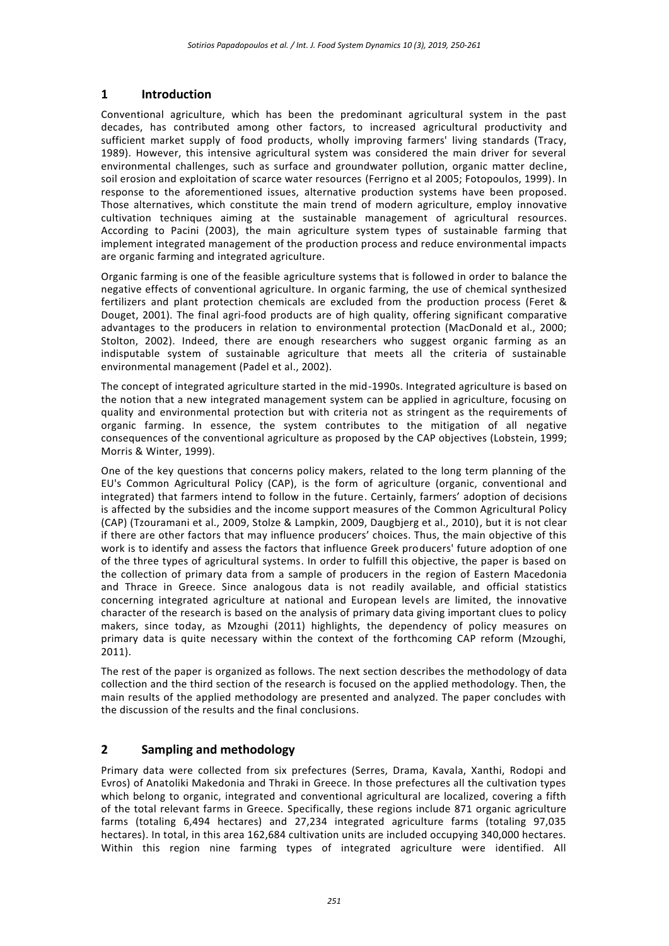## **1 Introduction**

Conventional agriculture, which has been the predominant agricultural system in the past decades, has contributed among other factors, to increased agricultural productivity and sufficient market supply of food products, wholly improving farmers' living standards (Tracy, 1989). However, this intensive agricultural system was considered the main driver for several environmental challenges, such as surface and groundwater pollution, organic matter decline, soil erosion and exploitation of scarce water resources (Ferrigno et al 2005; Fotopoulos, 1999). In response to the aforementioned issues, alternative production systems have been proposed. Those alternatives, which constitute the main trend of modern agriculture, employ innovative cultivation techniques aiming at the sustainable management of agricultural resources. According to Pacini (2003), the main agriculture system types of sustainable farming that implement integrated management of the production process and reduce environmental impacts are organic farming and integrated agriculture.

Organic farming is one of the feasible agriculture systems that is followed in order to balance the negative effects of conventional agriculture. In organic farming, the use of chemical synthesized fertilizers and plant protection chemicals are excluded from the production process (Feret & Douget, 2001). The final agri-food products are of high quality, offering significant comparative advantages to the producers in relation to environmental protection (MacDonald et al., 2000; Stolton, 2002). Indeed, there are enough researchers who suggest organic farming as an indisputable system of sustainable agriculture that meets all the criteria of sustainable environmental management (Padel et al., 2002).

The concept of integrated agriculture started in the mid-1990s. Integrated agriculture is based on the notion that a new integrated management system can be applied in agriculture, focusing on quality and environmental protection but with criteria not as stringent as the requirements of organic farming. In essence, the system contributes to the mitigation of all negative consequences of the conventional agriculture as proposed by the CAP objectives (Lobstein, 1999; Morris & Winter, 1999).

One of the key questions that concerns policy makers, related to the long term planning of the EU's Common Agricultural Policy (CAP), is the form of agriculture (organic, conventional and integrated) that farmers intend to follow in the future. Certainly, farmers' adoption of decisions is affected by the subsidies and the income support measures of the Common Agricultural Policy (CAP) (Tzouramani et al., 2009, Stolze & Lampkin, 2009, Daugbjerg et al., 2010), but it is not clear if there are other factors that may influence producers' choices. Thus, the main objective of this work is to identify and assess the factors that influence Greek producers' future adoption of one of the three types of agricultural systems. In order to fulfill this objective, the paper is based on the collection of primary data from a sample of producers in the region of Eastern Macedonia and Thrace in Greece. Since analogous data is not readily available, and official statistics concerning integrated agriculture at national and European levels are limited, the innovative character of the research is based on the analysis of primary data giving important clues to policy makers, since today, as Mzoughi (2011) highlights, the dependency of policy measures on primary data is quite necessary within the context of the forthcoming CAP reform (Mzoughi, 2011).

The rest of the paper is organized as follows. The next section describes the methodology of data collection and the third section of the research is focused on the applied methodology. Then, the main results of the applied methodology are presented and analyzed. The paper concludes with the discussion of the results and the final conclusions.

## **2 Sampling and methodology**

Primary data were collected from six prefectures (Serres, Drama, Kavala, Xanthi, Rodopi and Evros) of Anatoliki Makedonia and Thraki in Greece. In those prefectures all the cultivation types which belong to organic, integrated and conventional agricultural are localized, covering a fifth of the total relevant farms in Greece. Specifically, these regions include 871 organic agriculture farms (totaling 6,494 hectares) and 27,234 integrated agriculture farms (totaling 97,035 hectares). In total, in this area 162,684 cultivation units are included occupying 340,000 hectares. Within this region nine farming types of integrated agriculture were identified. All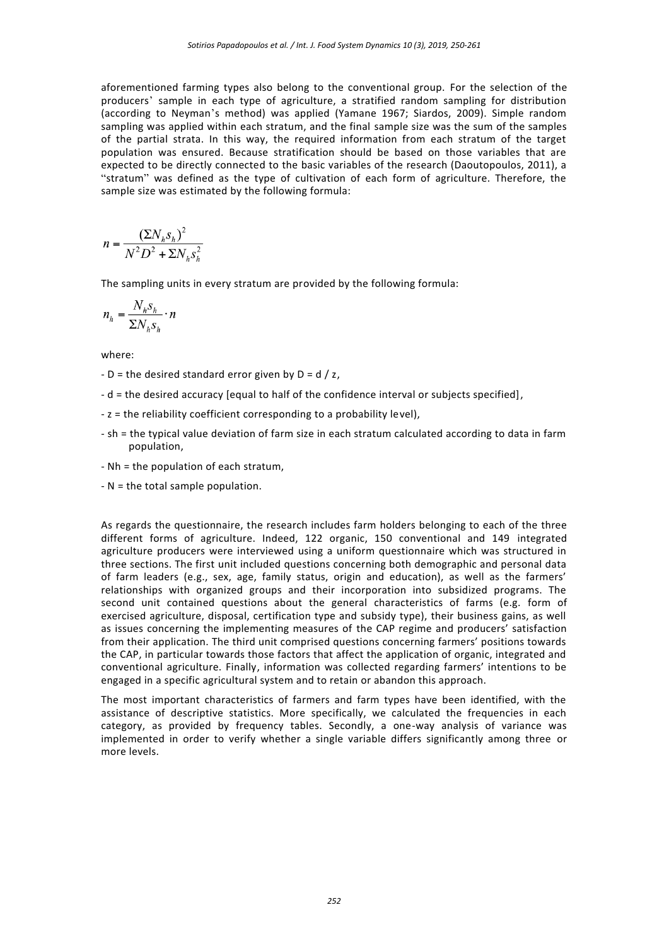aforementioned farming types also belong to the conventional group. For the selection of the producers' sample in each type of agriculture, a stratified random sampling for distribution (according to Neyman's method) was applied (Yamane 1967; Siardos, 2009). Simple random sampling was applied within each stratum, and the final sample size was the sum of the samples of the partial strata. In this way, the required information from each stratum of the target population was ensured. Because stratification should be based on those variables that are expected to be directly connected to the basic variables of the research (Daoutopoulos, 2011), a "stratum" was defined as the type of cultivation of each form of agriculture. Therefore, the sample size was estimated by the following formula:

$$
n = \frac{(\Sigma N_h s_h)^2}{N^2 D^2 + \Sigma N_h s_h^2}
$$

The sampling units in every stratum are provided by the following formula:

$$
n_h = \frac{N_h s_h}{\Sigma N_h s_h} \cdot n
$$

where:

- $D =$  the desired standard error given by  $D = d / z$ ,
- d = the desired accuracy [equal to half of the confidence interval or subjects specified],
- z = the reliability coefficient corresponding to a probability level),
- sh = the typical value deviation of farm size in each stratum calculated according to data in farm population,
- Νh = the population of each stratum,
- N = the total sample population.

As regards the questionnaire, the research includes farm holders belonging to each of the three different forms of agriculture. Indeed, 122 organic, 150 conventional and 149 integrated agriculture producers were interviewed using a uniform questionnaire which was structured in three sections. The first unit included questions concerning both demographic and personal data of farm leaders (e.g., sex, age, family status, origin and education), as well as the farmers' relationships with organized groups and their incorporation into subsidized programs. The second unit contained questions about the general characteristics of farms (e.g. form of exercised agriculture, disposal, certification type and subsidy type), their business gains, as well as issues concerning the implementing measures of the CAP regime and producers' satisfaction from their application. The third unit comprised questions concerning farmers' positions towards the CAP, in particular towards those factors that affect the application of organic, integrated and conventional agriculture. Finally, information was collected regarding farmers' intentions to be engaged in a specific agricultural system and to retain or abandon this approach.

The most important characteristics of farmers and farm types have been identified, with the assistance of descriptive statistics. More specifically, we calculated the frequencies in each category, as provided by frequency tables. Secondly, a one-way analysis of variance was implemented in order to verify whether a single variable differs significantly among three or more levels.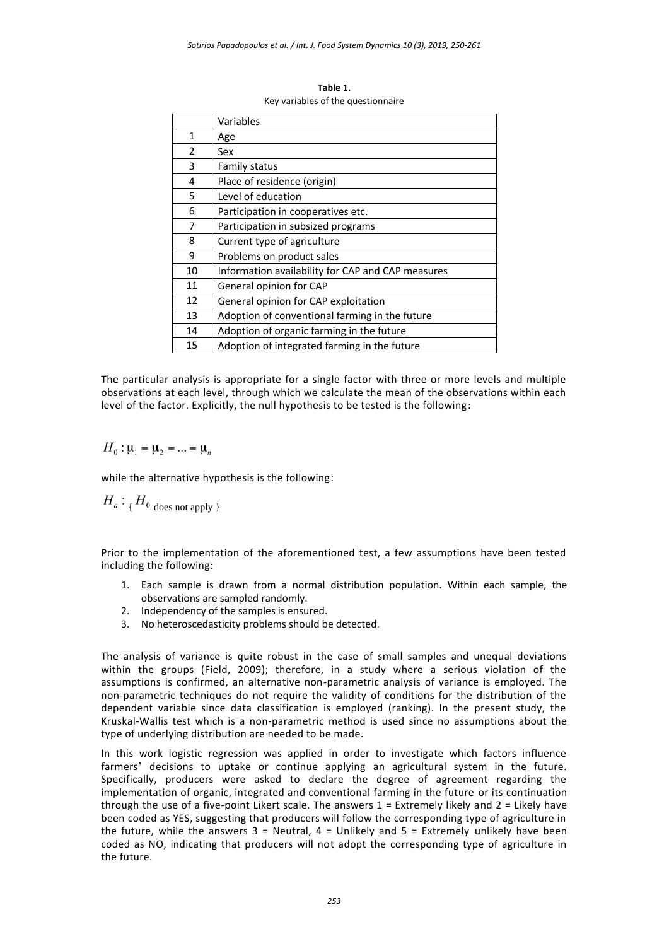|                | Variables                                         |
|----------------|---------------------------------------------------|
| $\mathbf{1}$   | Age                                               |
| $\overline{2}$ | Sex                                               |
| 3              | Family status                                     |
| 4              | Place of residence (origin)                       |
| 5              | Level of education                                |
| 6              | Participation in cooperatives etc.                |
| 7              | Participation in subsized programs                |
| 8              | Current type of agriculture                       |
| 9              | Problems on product sales                         |
| 10             | Information availability for CAP and CAP measures |
| 11             | General opinion for CAP                           |
| 12             | General opinion for CAP exploitation              |
| 13             | Adoption of conventional farming in the future    |
| 14             | Adoption of organic farming in the future         |
| 15             | Adoption of integrated farming in the future      |

**Table 1.** Key variables of the questionnaire

The particular analysis is appropriate for a single factor with three or more levels and multiple observations at each level, through which we calculate the mean of the observations within each level of the factor. Explicitly, the null hypothesis to be tested is the following:

 $H_0: \mu_1 = \mu_2 = ... = \mu_n$ 

while the alternative hypothesis is the following:

$$
H_a: {}_{\{ }H_0 \text{ does not apply } }
$$

Prior to the implementation of the aforementioned test, a few assumptions have been tested including the following:

- 1. Each sample is drawn from a normal distribution population. Within each sample, the observations are sampled randomly.
- 2. Independency of the samples is ensured.
- 3. No heteroscedasticity problems should be detected.

The analysis of variance is quite robust in the case of small samples and unequal deviations within the groups (Field, 2009); therefore, in a study where a serious violation of the assumptions is confirmed, an alternative non-parametric analysis of variance is employed. The non-parametric techniques do not require the validity of conditions for the distribution of the dependent variable since data classification is employed (ranking). In the present study, the Kruskal-Wallis test which is a non-parametric method is used since no assumptions about the type of underlying distribution are needed to be made.

In this work logistic regression was applied in order to investigate which factors influence farmers' decisions to uptake or continue applying an agricultural system in the future. Specifically, producers were asked to declare the degree of agreement regarding the implementation of organic, integrated and conventional farming in the future or its continuation through the use of a five-point Likert scale. The answers  $1 =$  Extremely likely and  $2 =$  Likely have been coded as YES, suggesting that producers will follow the corresponding type of agriculture in the future, while the answers  $3 =$  Neutral,  $4 =$  Unlikely and  $5 =$  Extremely unlikely have been coded as NO, indicating that producers will not adopt the corresponding type of agriculture in the future.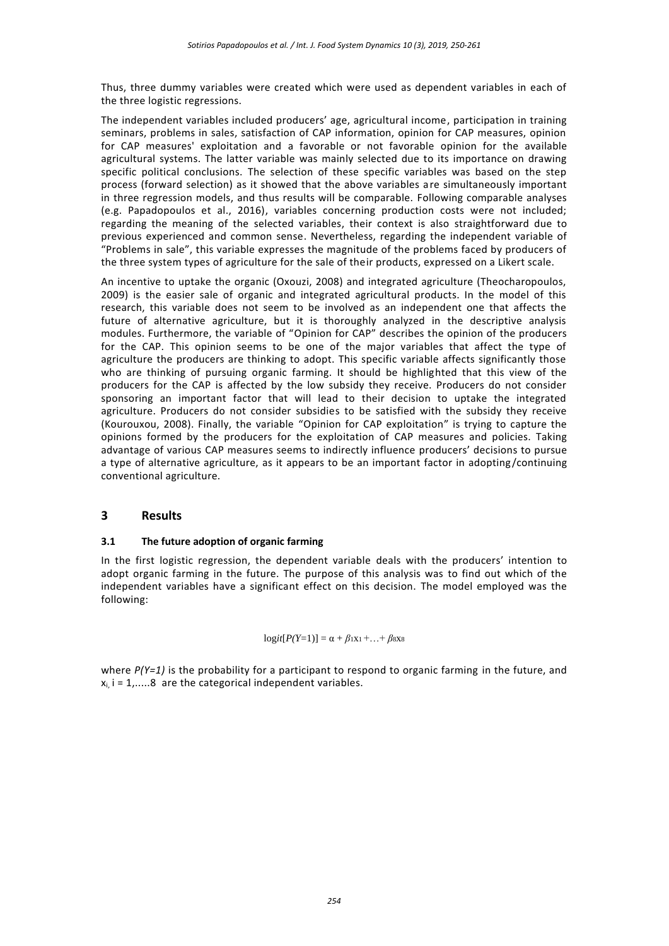Thus, three dummy variables were created which were used as dependent variables in each of the three logistic regressions.

The independent variables included producers' age, agricultural income, participation in training seminars, problems in sales, satisfaction of CAP information, opinion for CAP measures, opinion for CAP measures' exploitation and a favorable or not favorable opinion for the available agricultural systems. The latter variable was mainly selected due to its importance on drawing specific political conclusions. The selection of these specific variables was based on the step process (forward selection) as it showed that the above variables are simultaneously important in three regression models, and thus results will be comparable. Following comparable analyses (e.g. Papadopoulos et al., 2016), variables concerning production costs were not included; regarding the meaning of the selected variables, their context is also straightforward due to previous experienced and common sense. Nevertheless, regarding the independent variable of "Problems in sale", this variable expresses the magnitude of the problems faced by producers of the three system types of agriculture for the sale of their products, expressed on a Likert scale.

An incentive to uptake the organic (Oxouzi, 2008) and integrated agriculture (Theocharopoulos, 2009) is the easier sale of organic and integrated agricultural products. In the model of this research, this variable does not seem to be involved as an independent one that affects the future of alternative agriculture, but it is thoroughly analyzed in the descriptive analysis modules. Furthermore, the variable of "Opinion for CAP" describes the opinion of the producers for the CAP. This opinion seems to be one of the major variables that affect the type of agriculture the producers are thinking to adopt. This specific variable affects significantly those who are thinking of pursuing organic farming. It should be highlighted that this view of the producers for the CAP is affected by the low subsidy they receive. Producers do not consider sponsoring an important factor that will lead to their decision to uptake the integrated agriculture. Producers do not consider subsidies to be satisfied with the subsidy they receive (Kourouxou, 2008). Finally, the variable "Opinion for CAP exploitation" is trying to capture the opinions formed by the producers for the exploitation of CAP measures and policies. Taking advantage of various CAP measures seems to indirectly influence producers' decisions to pursue a type of alternative agriculture, as it appears to be an important factor in adopting/continuing conventional agriculture.

## **3 Results**

#### **3.1 The future adoption of organic farming**

In the first logistic regression, the dependent variable deals with the producers' intention to adopt organic farming in the future. The purpose of this analysis was to find out which of the independent variables have a significant effect on this decision. The model employed was the following:

 $logit[P(Y=1)] = \alpha + \beta_1x_1 + ... + \beta_8x_8$ 

where  $P(Y=1)$  is the probability for a participant to respond to organic farming in the future, and  $x_i$  i = 1,.....8 are the categorical independent variables.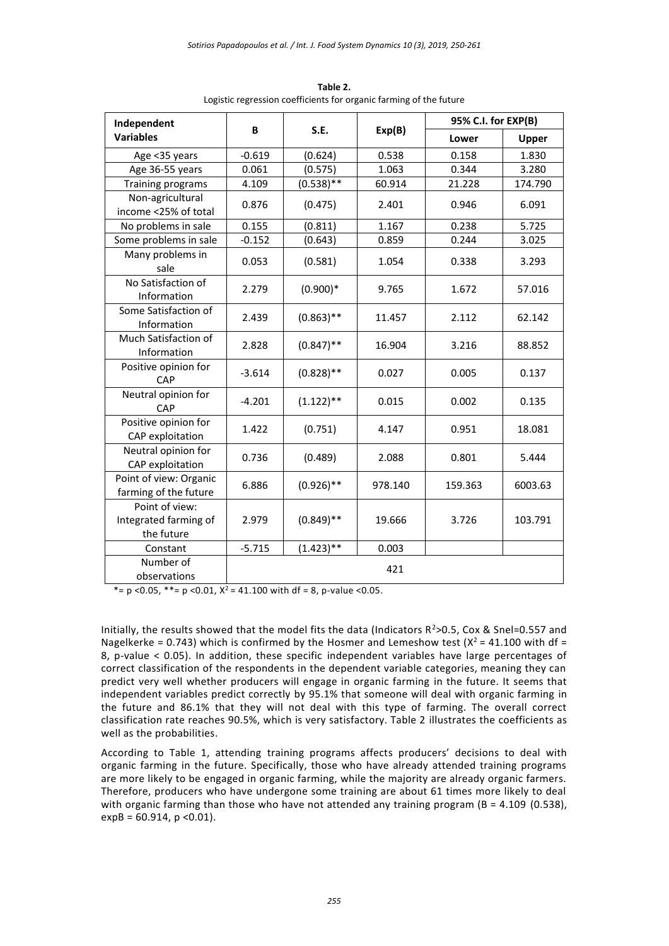| Independent                                           | B        | S.E.         |         | 95% C.I. for EXP(B) |         |
|-------------------------------------------------------|----------|--------------|---------|---------------------|---------|
| <b>Variables</b>                                      |          |              | Exp(B)  | Lower               | Upper   |
| Age <35 years                                         | $-0.619$ | (0.624)      | 0.538   | 0.158               | 1.830   |
| Age 36-55 years                                       | 0.061    | (0.575)      | 1.063   | 0.344               | 3.280   |
| Training programs                                     | 4.109    | $(0.538)$ ** | 60.914  | 21.228              | 174.790 |
| Non-agricultural<br>income <25% of total              | 0.876    | (0.475)      | 2.401   | 0.946               | 6.091   |
| No problems in sale                                   | 0.155    | (0.811)      | 1.167   | 0.238               | 5.725   |
| Some problems in sale                                 | $-0.152$ | (0.643)      | 0.859   | 0.244               | 3.025   |
| Many problems in<br>sale                              | 0.053    | (0.581)      | 1.054   | 0.338               | 3.293   |
| No Satisfaction of<br>Information                     | 2.279    | $(0.900)*$   | 9.765   | 1.672               | 57.016  |
| Some Satisfaction of<br>Information                   | 2.439    | $(0.863)$ ** | 11.457  | 2.112               | 62.142  |
| Much Satisfaction of<br>Information                   | 2.828    | $(0.847)$ ** | 16.904  | 3.216               | 88.852  |
| Positive opinion for<br>CAP                           | $-3.614$ | $(0.828)$ ** | 0.027   | 0.005               | 0.137   |
| Neutral opinion for<br>CAP                            | $-4.201$ | $(1.122)$ ** | 0.015   | 0.002               | 0.135   |
| Positive opinion for<br>CAP exploitation              | 1.422    | (0.751)      | 4.147   | 0.951               | 18.081  |
| Neutral opinion for<br>CAP exploitation               | 0.736    | (0.489)      | 2.088   | 0.801               | 5.444   |
| Point of view: Organic<br>farming of the future       | 6.886    | $(0.926)$ ** | 978.140 | 159.363             | 6003.63 |
| Point of view:<br>Integrated farming of<br>the future | 2.979    | $(0.849)$ ** | 19.666  | 3.726               | 103.791 |
| Constant                                              | $-5.715$ | $(1.423)$ ** | 0.003   |                     |         |
| Number of<br>observations                             |          |              | 421     |                     |         |

**Table 2.** Logistic regression coefficients for organic farming of the future

\*=  $p$  <0.05, \*\*=  $p$  <0.01,  $X^2$  = 41.100 with df = 8,  $p$ -value <0.05.

Initially, the results showed that the model fits the data (Indicators  $R^2 > 0.5$ , Cox & Snel=0.557 and Nagelkerke = 0.743) which is confirmed by the Hosmer and Lemeshow test ( $X^2$  = 41.100 with df = 8, p-value < 0.05). In addition, these specific independent variables have large percentages of correct classification of the respondents in the dependent variable categories, meaning they can predict very well whether producers will engage in organic farming in the future. It seems that independent variables predict correctly by 95.1% that someone will deal with organic farming in the future and 86.1% that they will not deal with this type of farming. The overall correct classification rate reaches 90.5%, which is very satisfactory. Table 2 illustrates the coefficients as well as the probabilities.

According to Table 1, attending training programs affects producers' decisions to deal with organic farming in the future. Specifically, those who have already attended training programs are more likely to be engaged in organic farming, while the majority are already organic farmers. Therefore, producers who have undergone some training are about 61 times more likely to deal with organic farming than those who have not attended any training program (B = 4.109 (0.538),  $expB = 60.914$ ,  $p < 0.01$ ).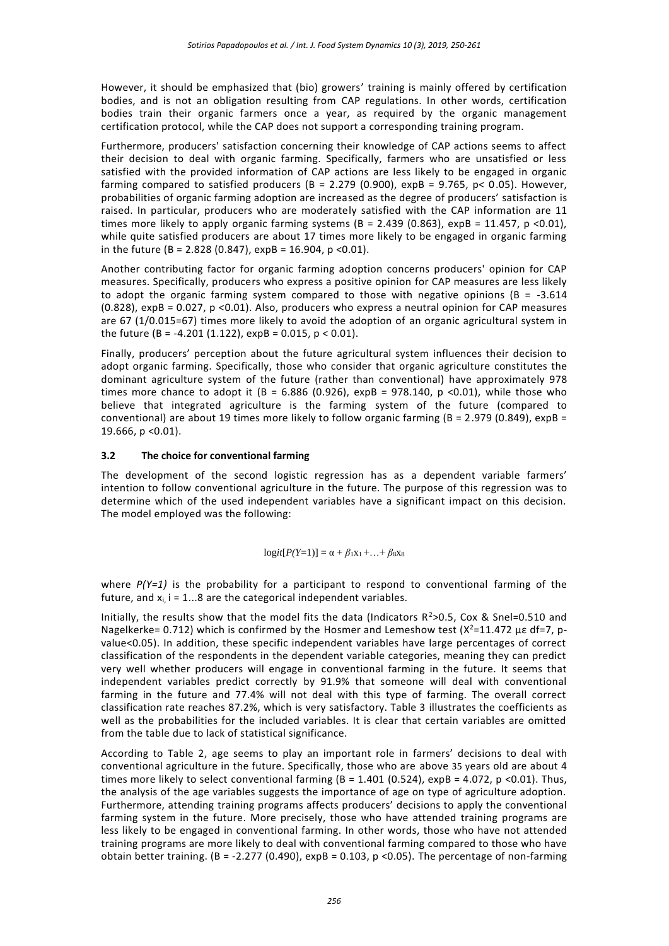However, it should be emphasized that (bio) growers' training is mainly offered by certification bodies, and is not an obligation resulting from CAP regulations. In other words, certification bodies train their organic farmers once a year, as required by the organic management certification protocol, while the CAP does not support a corresponding training program.

Furthermore, producers' satisfaction concerning their knowledge of CAP actions seems to affect their decision to deal with organic farming. Specifically, farmers who are unsatisfied or less satisfied with the provided information of CAP actions are less likely to be engaged in organic farming compared to satisfied producers (B = 2.279 (0.900),  $expB = 9.765$ , p< 0.05). However, probabilities of organic farming adoption are increased as the degree of producers' satisfaction is raised. In particular, producers who are moderately satisfied with the CAP information are 11 times more likely to apply organic farming systems ( $B = 2.439$  (0.863), expB = 11.457, p <0.01), while quite satisfied producers are about 17 times more likely to be engaged in organic farming in the future (B = 2.828 (0.847),  $expB = 16.904$ ,  $p < 0.01$ ).

Another contributing factor for organic farming adoption concerns producers' opinion for CAP measures. Specifically, producers who express a positive opinion for CAP measures are less likely to adopt the organic farming system compared to those with negative opinions ( $B = -3.614$ ) (0.828), expB = 0.027, p <0.01). Also, producers who express a neutral opinion for CAP measures are 67 (1/0.015=67) times more likely to avoid the adoption of an organic agricultural system in the future (B = -4.201 (1.122),  $expB = 0.015$ ,  $p < 0.01$ ).

Finally, producers' perception about the future agricultural system influences their decision to adopt organic farming. Specifically, those who consider that organic agriculture constitutes the dominant agriculture system of the future (rather than conventional) have approximately 978 times more chance to adopt it (B =  $6.886$  (0.926), expB = 978.140, p <0.01), while those who believe that integrated agriculture is the farming system of the future (compared to conventional) are about 19 times more likely to follow organic farming ( $B = 2.979$  (0.849),  $expB =$ 19.666, p <0.01).

#### **3.2 The choice for conventional farming**

The development of the second logistic regression has as a dependent variable farmers' intention to follow conventional agriculture in the future. The purpose of this regression was to determine which of the used independent variables have a significant impact on this decision. The model employed was the following:

$$
logit[P(Y=1)] = \alpha + \beta_1x_1 + ... + \beta_8x_8
$$

where  $P(Y=1)$  is the probability for a participant to respond to conventional farming of the future, and  $x_i$ ,  $i = 1...8$  are the categorical independent variables.

Initially, the results show that the model fits the data (Indicators  $R^2$ >0.5, Cox & Snel=0.510 and Nagelkerke= 0.712) which is confirmed by the Hosmer and Lemeshow test ( $X^2$ =11.472  $\mu$ ε df=7, pvalue<0.05). In addition, these specific independent variables have large percentages of correct classification of the respondents in the dependent variable categories, meaning they can predict very well whether producers will engage in conventional farming in the future. It seems that independent variables predict correctly by 91.9% that someone will deal with conventional farming in the future and 77.4% will not deal with this type of farming. The overall correct classification rate reaches 87.2%, which is very satisfactory. Table 3 illustrates the coefficients as well as the probabilities for the included variables. It is clear that certain variables are omitted from the table due to lack of statistical significance.

According to Table 2, age seems to play an important role in farmers' decisions to deal with conventional agriculture in the future. Specifically, those who are above 35 years old are about 4 times more likely to select conventional farming  $(B = 1.401 (0.524)$ , expB = 4.072, p <0.01). Thus, the analysis of the age variables suggests the importance of age on type of agriculture adoption. Furthermore, attending training programs affects producers' decisions to apply the conventional farming system in the future. More precisely, those who have attended training programs are less likely to be engaged in conventional farming. In other words, those who have not attended training programs are more likely to deal with conventional farming compared to those who have obtain better training.  $(B = -2.277 (0.490)$ ,  $expB = 0.103$ ,  $p < 0.05$ ). The percentage of non-farming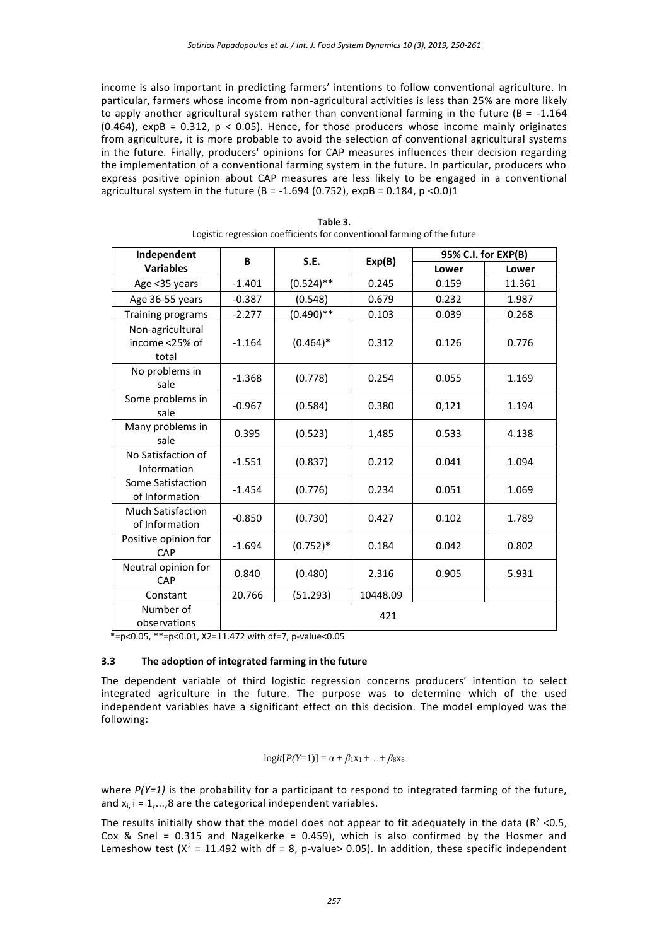income is also important in predicting farmers' intentions to follow conventional agriculture. In particular, farmers whose income from non-agricultural activities is less than 25% are more likely to apply another agricultural system rather than conventional farming in the future ( $B = -1.164$ ) (0.464),  $expB = 0.312$ ,  $p < 0.05$ ). Hence, for those producers whose income mainly originates from agriculture, it is more probable to avoid the selection of conventional agricultural systems in the future. Finally, producers' opinions for CAP measures influences their decision regarding the implementation of a conventional farming system in the future. In particular, producers who express positive opinion about CAP measures are less likely to be engaged in a conventional agricultural system in the future (B = -1.694 (0.752),  $expB = 0.184$ ,  $p < 0.0$ )1

| Independent                                 | B        | S.E.         |          | 95% C.I. for EXP(B) |        |  |
|---------------------------------------------|----------|--------------|----------|---------------------|--------|--|
| <b>Variables</b>                            |          |              | Exp(B)   | Lower               | Lower  |  |
| Age <35 years                               | $-1.401$ | $(0.524)$ ** | 0.245    | 0.159               | 11.361 |  |
| Age 36-55 years                             | $-0.387$ | (0.548)      | 0.679    | 0.232               | 1.987  |  |
| Training programs                           | $-2.277$ | $(0.490)$ ** | 0.103    | 0.039               | 0.268  |  |
| Non-agricultural<br>income <25% of<br>total | $-1.164$ | $(0.464)*$   | 0.312    | 0.126               | 0.776  |  |
| No problems in<br>sale                      | $-1.368$ | (0.778)      | 0.254    | 0.055               | 1.169  |  |
| Some problems in<br>sale                    | $-0.967$ | (0.584)      | 0.380    | 0,121               | 1.194  |  |
| Many problems in<br>sale                    | 0.395    | (0.523)      | 1,485    | 0.533               | 4.138  |  |
| No Satisfaction of<br>Information           | $-1.551$ | (0.837)      | 0.212    | 0.041               | 1.094  |  |
| Some Satisfaction<br>of Information         | $-1.454$ | (0.776)      | 0.234    | 0.051               | 1.069  |  |
| <b>Much Satisfaction</b><br>of Information  | $-0.850$ | (0.730)      | 0.427    | 0.102               | 1.789  |  |
| Positive opinion for<br>CAP                 | $-1.694$ | $(0.752)*$   | 0.184    | 0.042               | 0.802  |  |
| Neutral opinion for<br>CAP                  | 0.840    | (0.480)      | 2.316    | 0.905               | 5.931  |  |
| Constant                                    | 20.766   | (51.293)     | 10448.09 |                     |        |  |
| Number of<br>observations                   | 421      |              |          |                     |        |  |

| Table 3.                                                                |  |  |  |  |  |  |
|-------------------------------------------------------------------------|--|--|--|--|--|--|
| Logistic regression coefficients for conventional farming of the future |  |  |  |  |  |  |

\*=p<0.05, \*\*=p<0.01, Χ2=11.472 with df=7, p-value<0.05

#### **3.3 The adoption of integrated farming in the future**

The dependent variable of third logistic regression concerns producers' intention to select integrated agriculture in the future. The purpose was to determine which of the used independent variables have a significant effect on this decision. The model employed was the following:

$$
logit[P(Y=1)] = \alpha + \beta_1x_1 + ... + \beta_8x_8
$$

where  $P(Y=1)$  is the probability for a participant to respond to integrated farming of the future, and  $x_i$ ,  $i = 1, \ldots, 8$  are the categorical independent variables.

The results initially show that the model does not appear to fit adequately in the data ( $R^2$  <0.5, Cox & Snel = 0.315 and Nagelkerke = 0.459), which is also confirmed by the Hosmer and Lemeshow test  $(X^2 = 11.492$  with df = 8, p-value> 0.05). In addition, these specific independent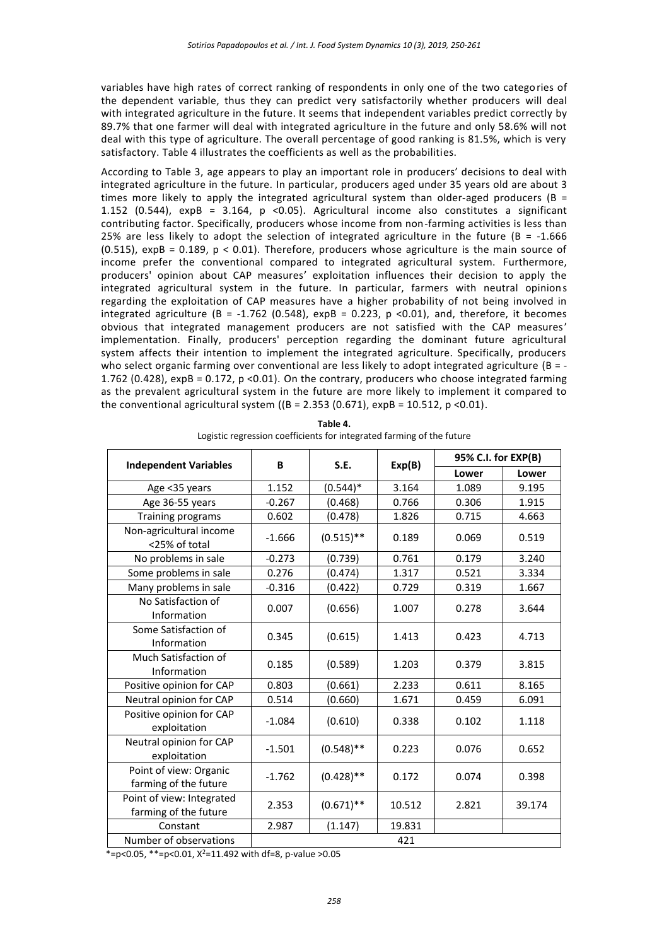variables have high rates of correct ranking of respondents in only one of the two categories of the dependent variable, thus they can predict very satisfactorily whether producers will deal with integrated agriculture in the future. It seems that independent variables predict correctly by 89.7% that one farmer will deal with integrated agriculture in the future and only 58.6% will not deal with this type of agriculture. The overall percentage of good ranking is 81.5%, which is very satisfactory. Table 4 illustrates the coefficients as well as the probabilities.

According to Table 3, age appears to play an important role in producers' decisions to deal with integrated agriculture in the future. In particular, producers aged under 35 years old are about 3 times more likely to apply the integrated agricultural system than older-aged producers (B = 1.152 (0.544), expB = 3.164, p <0.05). Agricultural income also constitutes a significant contributing factor. Specifically, producers whose income from non-farming activities is less than 25% are less likely to adopt the selection of integrated agriculture in the future ( $B = -1.666$ )  $(0.515)$ , expB = 0.189,  $p < 0.01$ ). Therefore, producers whose agriculture is the main source of income prefer the conventional compared to integrated agricultural system. Furthermore, producers' opinion about CAP measures' exploitation influences their decision to apply the integrated agricultural system in the future. In particular, farmers with neutral opinions regarding the exploitation of CAP measures have a higher probability of not being involved in integrated agriculture (B = -1.762 (0.548), expB = 0.223, p <0.01), and, therefore, it becomes obvious that integrated management producers are not satisfied with the CAP measures' implementation. Finally, producers' perception regarding the dominant future agricultural system affects their intention to implement the integrated agriculture. Specifically, producers who select organic farming over conventional are less likely to adopt integrated agriculture (B = -1.762 (0.428), expB = 0.172, p < 0.01). On the contrary, producers who choose integrated farming as the prevalent agricultural system in the future are more likely to implement it compared to the conventional agricultural system ( $(B = 2.353 (0.671)$ ,  $expB = 10.512$ ,  $p < 0.01$ ).

| <b>Independent Variables</b>                       | B        | S.E.         |        | 95% C.I. for EXP(B) |        |
|----------------------------------------------------|----------|--------------|--------|---------------------|--------|
|                                                    |          |              | Exp(B) | Lower               | Lower  |
| Age <35 years                                      | 1.152    | $(0.544)^*$  | 3.164  | 1.089               | 9.195  |
| Age 36-55 years                                    | $-0.267$ | (0.468)      | 0.766  | 0.306               | 1.915  |
| Training programs                                  | 0.602    | (0.478)      | 1.826  | 0.715               | 4.663  |
| Non-agricultural income<br><25% of total           | $-1.666$ | $(0.515)$ ** | 0.189  | 0.069               | 0.519  |
| No problems in sale                                | $-0.273$ | (0.739)      | 0.761  | 0.179               | 3.240  |
| Some problems in sale                              | 0.276    | (0.474)      | 1.317  | 0.521               | 3.334  |
| Many problems in sale                              | $-0.316$ | (0.422)      | 0.729  | 0.319               | 1.667  |
| No Satisfaction of<br>Information                  | 0.007    | (0.656)      | 1.007  | 0.278               | 3.644  |
| Some Satisfaction of<br>Information                | 0.345    | (0.615)      | 1.413  | 0.423               | 4.713  |
| Much Satisfaction of<br>Information                | 0.185    | (0.589)      | 1.203  | 0.379               | 3.815  |
| Positive opinion for CAP                           | 0.803    | (0.661)      | 2.233  | 0.611               | 8.165  |
| Neutral opinion for CAP                            | 0.514    | (0.660)      | 1.671  | 0.459               | 6.091  |
| Positive opinion for CAP<br>exploitation           | $-1.084$ | (0.610)      | 0.338  | 0.102               | 1.118  |
| Neutral opinion for CAP<br>exploitation            | $-1.501$ | $(0.548)$ ** | 0.223  | 0.076               | 0.652  |
| Point of view: Organic<br>farming of the future    | $-1.762$ | $(0.428)$ ** | 0.172  | 0.074               | 0.398  |
| Point of view: Integrated<br>farming of the future | 2.353    | $(0.671)$ ** | 10.512 | 2.821               | 39.174 |
| Constant                                           | 2.987    | (1.147)      | 19.831 |                     |        |
| Number of observations                             |          |              | 421    |                     |        |

**Table 4.** Logistic regression coefficients for integrated farming of the future

\*=p<0.05, \*\*=p<0.01,  $X^2$ =11.492 with df=8, p-value >0.05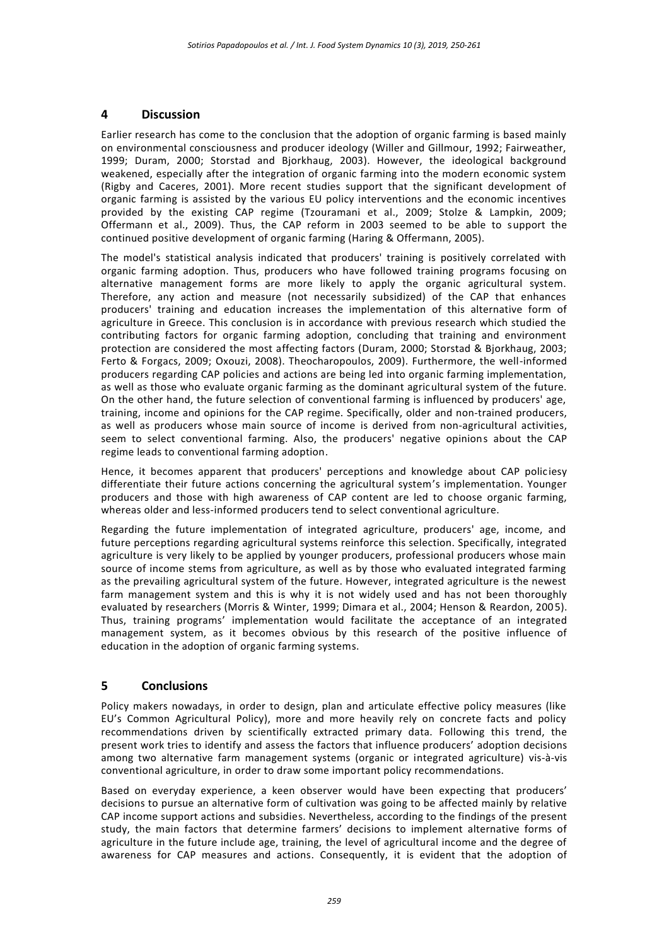## **4 Discussion**

Earlier research has come to the conclusion that the adoption of organic farming is based mainly on environmental consciousness and producer ideology (Willer and Gillmour, 1992; Fairweather, 1999; Duram, 2000; Storstad and Bjorkhaug, 2003). However, the ideological background weakened, especially after the integration of organic farming into the modern economic system (Rigby and Caceres, 2001). More recent studies support that the significant development of organic farming is assisted by the various EU policy interventions and the economic incentives provided by the existing CAP regime (Tzouramani et al., 2009; Stolze & Lampkin, 2009; Offermann et al., 2009). Thus, the CAP reform in 2003 seemed to be able to support the continued positive development of organic farming (Haring & Offermann, 2005).

The model's statistical analysis indicated that producers' training is positively correlated with organic farming adoption. Thus, producers who have followed training programs focusing on alternative management forms are more likely to apply the organic agricultural system. Therefore, any action and measure (not necessarily subsidized) of the CAP that enhances producers' training and education increases the implementation of this alternative form of agriculture in Greece. This conclusion is in accordance with previous research which studied the contributing factors for organic farming adoption, concluding that training and environment protection are considered the most affecting factors (Duram, 2000; Storstad & Bjorkhaug, 2003; Ferto & Forgacs, 2009; Oxouzi, 2008). Theocharopoulos, 2009). Furthermore, the well-informed producers regarding CAP policies and actions are being led into organic farming implementation, as well as those who evaluate organic farming as the dominant agricultural system of the future. On the other hand, the future selection of conventional farming is influenced by producers' age, training, income and opinions for the CAP regime. Specifically, older and non-trained producers, as well as producers whose main source of income is derived from non-agricultural activities, seem to select conventional farming. Also, the producers' negative opinions about the CAP regime leads to conventional farming adoption.

Hence, it becomes apparent that producers' perceptions and knowledge about CAP policiesy differentiate their future actions concerning the agricultural system's implementation. Younger producers and those with high awareness of CAP content are led to choose organic farming, whereas older and less-informed producers tend to select conventional agriculture.

Regarding the future implementation of integrated agriculture, producers' age, income, and future perceptions regarding agricultural systems reinforce this selection. Specifically, integrated agriculture is very likely to be applied by younger producers, professional producers whose main source of income stems from agriculture, as well as by those who evaluated integrated farming as the prevailing agricultural system of the future. However, integrated agriculture is the newest farm management system and this is why it is not widely used and has not been thoroughly evaluated by researchers (Morris & Winter, 1999; Dimara et al., 2004; Henson & Reardon, 2005). Thus, training programs' implementation would facilitate the acceptance of an integrated management system, as it becomes obvious by this research of the positive influence of education in the adoption of organic farming systems.

## **5 Conclusions**

Policy makers nowadays, in order to design, plan and articulate effective policy measures (like EU's Common Agricultural Policy), more and more heavily rely on concrete facts and policy recommendations driven by scientifically extracted primary data. Following this trend, the present work tries to identify and assess the factors that influence producers' adoption decisions among two alternative farm management systems (organic or integrated agriculture) vis-à-vis conventional agriculture, in order to draw some important policy recommendations.

Based on everyday experience, a keen observer would have been expecting that producers' decisions to pursue an alternative form of cultivation was going to be affected mainly by relative CAP income support actions and subsidies. Nevertheless, according to the findings of the present study, the main factors that determine farmers' decisions to implement alternative forms of agriculture in the future include age, training, the level of agricultural income and the degree of awareness for CAP measures and actions. Consequently, it is evident that the adoption of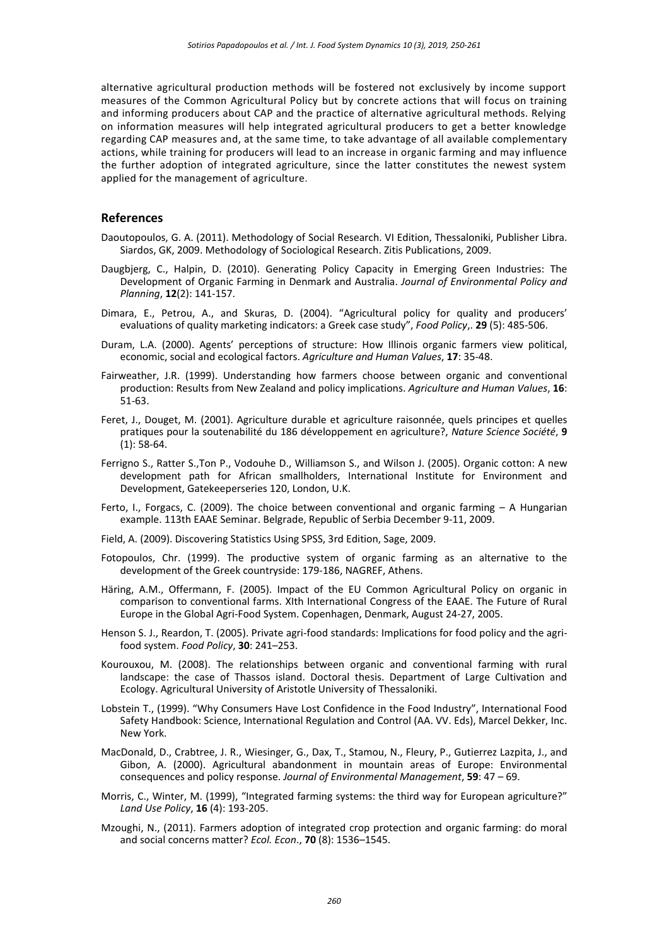alternative agricultural production methods will be fostered not exclusively by income support measures of the Common Agricultural Policy but by concrete actions that will focus on training and informing producers about CAP and the practice of alternative agricultural methods. Relying on information measures will help integrated agricultural producers to get a better knowledge regarding CAP measures and, at the same time, to take advantage of all available complementary actions, while training for producers will lead to an increase in organic farming and may influence the further adoption of integrated agriculture, since the latter constitutes the newest system applied for the management of agriculture.

#### **References**

- Daoutopoulos, G. A. (2011). Methodology of Social Research. VI Edition, Thessaloniki, Publisher Libra. Siardos, GK, 2009. Methodology of Sociological Research. Zitis Publications, 2009.
- Daugbjerg, C., [Halpin,](https://www.researchgate.net/profile/Darren_Halpin) D. (2010). Generating Policy Capacity in Emerging Green Industries: The Development of Organic Farming in Denmark and Australia. *[Journal of Environmental Policy and](https://www.researchgate.net/journal/1523-908X_Journal_of_Environmental_Policy_and_Planning)  [Planning](https://www.researchgate.net/journal/1523-908X_Journal_of_Environmental_Policy_and_Planning)*, **12**(2): 141-157.
- Dimara, E., Petrou, A., and Skuras, D. (2004). "Agricultural policy for quality and producers' evaluations of quality marketing indicators: a Greek case study", *Food Policy*,. **29** (5): 485-506.
- Duram, L.A. (2000). Agents' perceptions of structure: How Illinois organic farmers view political, economic, social and ecological factors. *Agriculture and Human Values*, **17**: 35-48.
- Fairweather, J.R. (1999). Understanding how farmers choose between organic and conventional production: Results from New Zealand and policy implications. *Agriculture and Human Values*, **16**: 51-63.
- Feret, J., Douget, M. (2001). Agriculture durable et agriculture raisonnée, quels principes et quelles pratiques pour la soutenabilité du 186 développement en agriculture?, *Nature Science Société*, **9** (1): 58-64.
- Ferrigno S., Ratter S.,Ton P., Vodouhe D., Williamson S., and Wilson J. (2005). Organic cotton: A new development path for African smallholders, International Institute for Environment and Development, Gatekeeperseries 120, London, U.K.
- Ferto, I., Forgacs, C. (2009). The choice between conventional and organic farming A Hungarian example. 113th EAAE Seminar. Belgrade, Republic of Serbia December 9-11, 2009.
- Field, A. (2009). Discovering Statistics Using SPSS, 3rd Edition, Sage, 2009.
- Fotopoulos, Chr. (1999). The productive system of organic farming as an alternative to the development of the Greek countryside: 179-186, NAGREF, Athens.
- Häring, A.M., Offermann, F. (2005). Impact of the EU Common Agricultural Policy on organic in comparison to conventional farms. XIth International Congress of the EAAE. The Future of Rural Europe in the Global Agri-Food System. Copenhagen, Denmark, August 24-27, 2005.
- Henson S. J., Reardon, T. (2005). Private agri-food standards: Implications for food policy and the agrifood system. *Food Policy*, **30**: 241–253.
- Kourouxou, Μ. (2008). The relationships between organic and conventional farming with rural landscape: the case of Thassos island. Doctoral thesis. Department of Large Cultivation and Ecology. Agricultural University of Aristotle University of Thessaloniki.
- Lobstein T., (1999). "Why Consumers Have Lost Confidence in the Food Industry", International Food Safety Handbook: Science, International Regulation and Control (AA. VV. Eds), Marcel Dekker, Inc. New York.
- MacDonald, D., Crabtree, J. R., Wiesinger, G., Dax, T., Stamou, N., Fleury, P., Gutierrez Lazpita, J., and Gibon, A. (2000). Agricultural abandonment in mountain areas of Europe: Environmental consequences and policy response. *Journal of Environmental Management*, **59**: 47 – 69.
- Morris, C., Winter, M. (1999), "Integrated farming systems: the third way for European agriculture?" *Land Use Policy*, **16** (4): 193-205.
- Mzoughi, N., (2011). Farmers adoption of integrated crop protection and organic farming: do moral and social concerns matter? *Ecol. Econ*., **70** (8): 1536–1545.